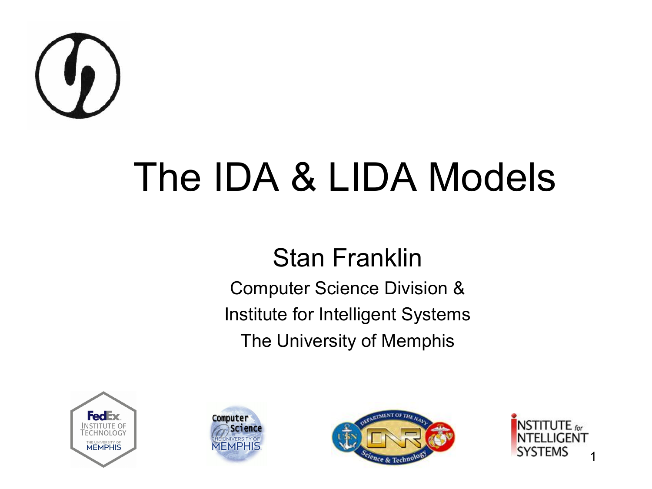

#### The IDA & LIDA Models

#### Stan Franklin

Computer Science Division & Institute for Intelligent Systems The University of Memphis







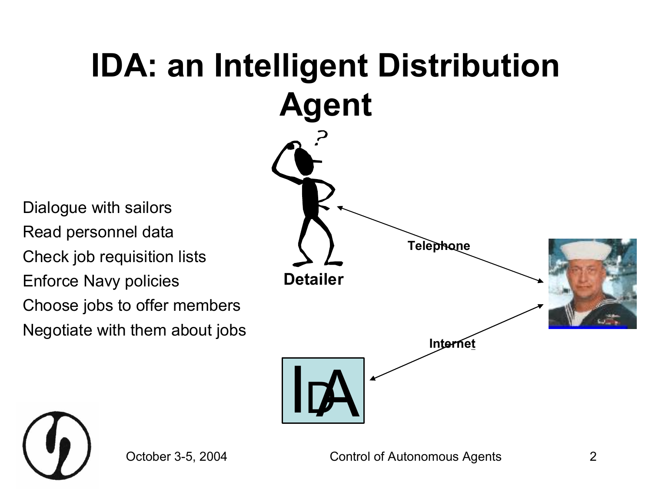

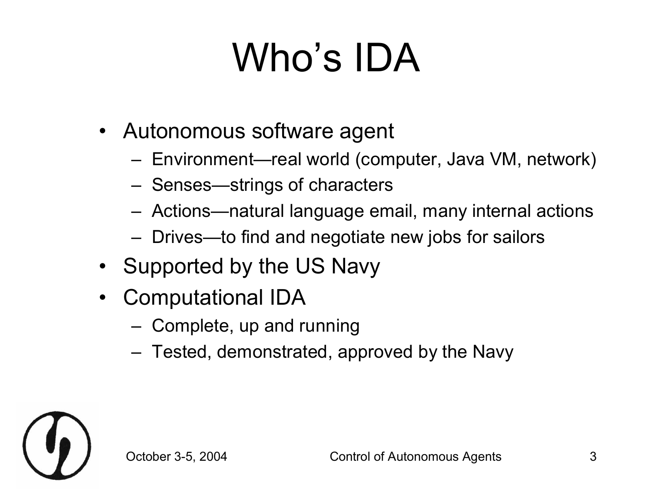## Who's IDA

- Autonomous software agent
	- Environment—real world (computer, Java VM, network)
	- Senses—strings of characters
	- Actions—natural language email, many internal actions
	- Drives—to find and negotiate new jobs for sailors
- Supported by the US Navy
- Computational IDA
	- Complete, up and running
	- Tested, demonstrated, approved by the Navy

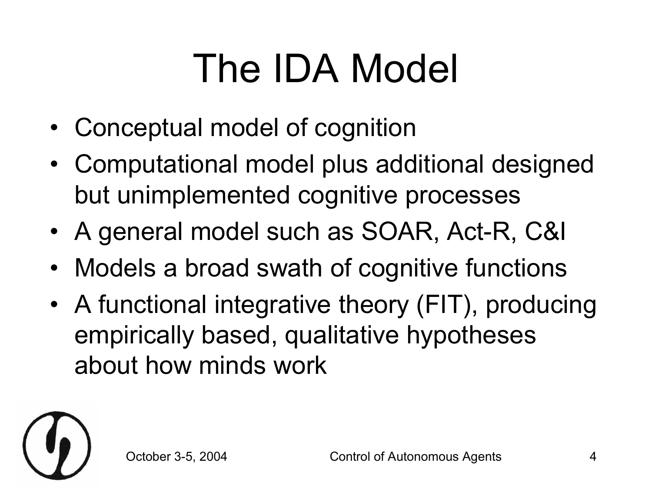## The IDA Model

- Conceptual model of cognition
- Computational model plus additional designed but unimplemented cognitive processes
- A general model such as SOAR, Act-R, C&I
- Models a broad swath of cognitive functions
- A functional integrative theory (FIT), producing empirically based, qualitative hypotheses about how minds work

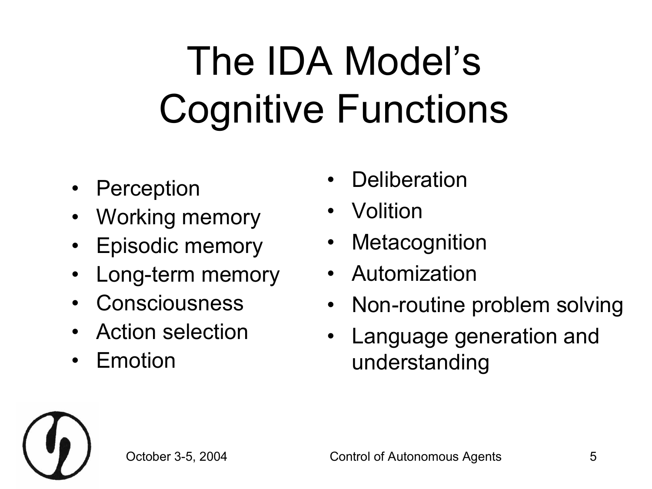## The IDA Model's Cognitive Functions

- Perception
- Working memory
- Episodic memory
- Long-term memory
- Consciousness
- Action selection
- Emotion
- **Deliberation**
- Volition
- **Metacognition**
- Automization
- Non-routine problem solving
- Language generation and understanding

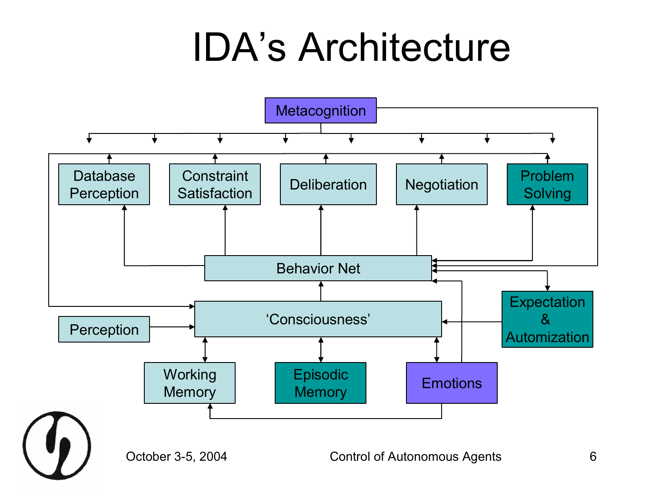#### IDA's Architecture

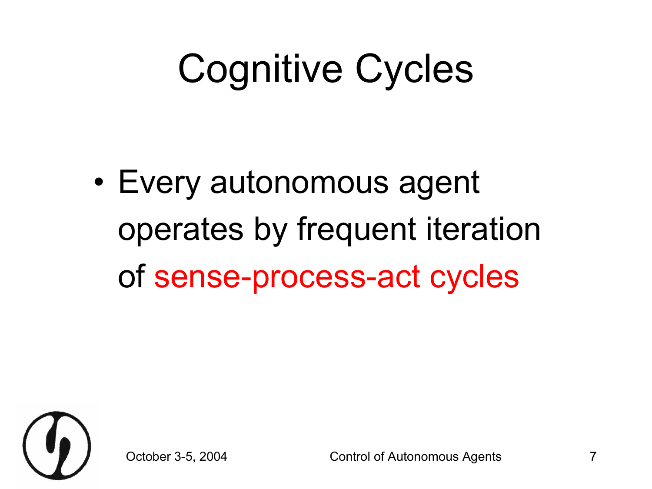### Cognitive Cycles

• Every autonomous agent operates by frequent iteration of sense-process-act cycles

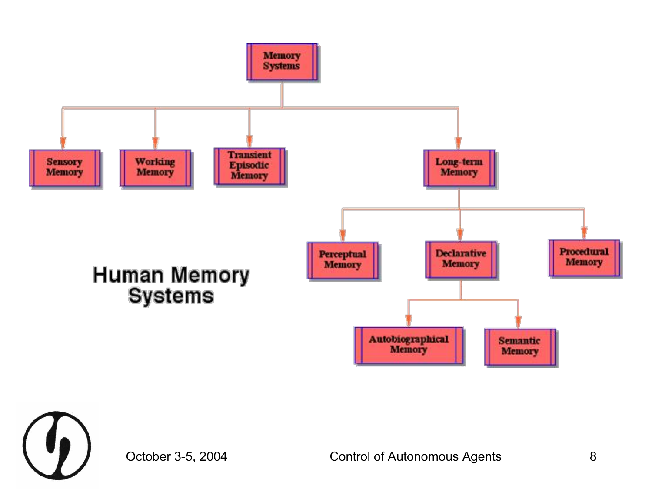

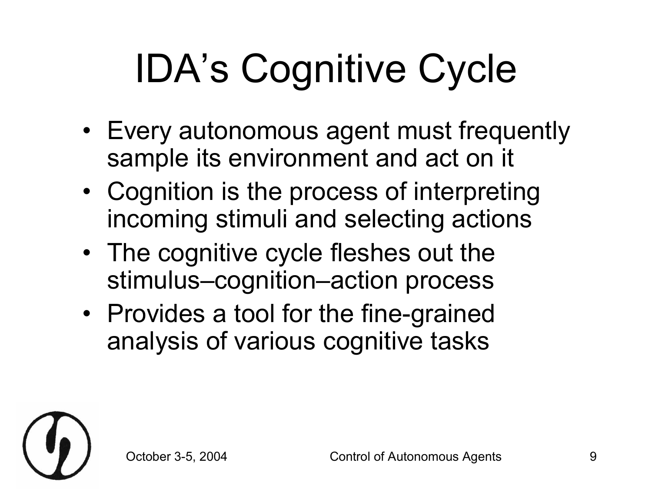## IDA's Cognitive Cycle

- Every autonomous agent must frequently sample its environment and act on it
- Cognition is the process of interpreting incoming stimuli and selecting actions
- The cognitive cycle fleshes out the stimulus–cognition–action process
- Provides a tool for the fine-grained analysis of various cognitive tasks

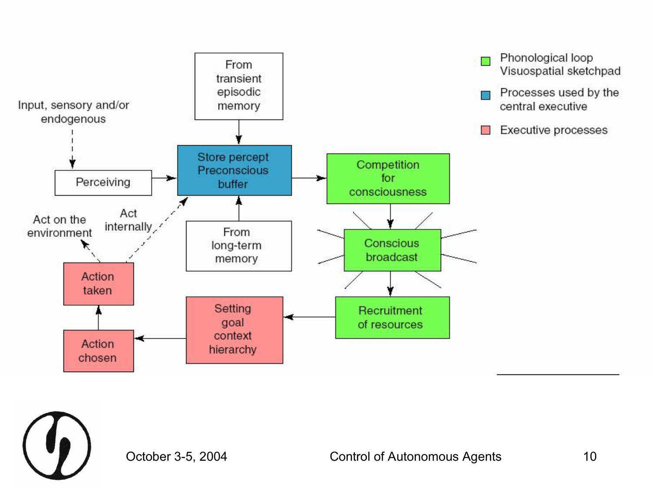

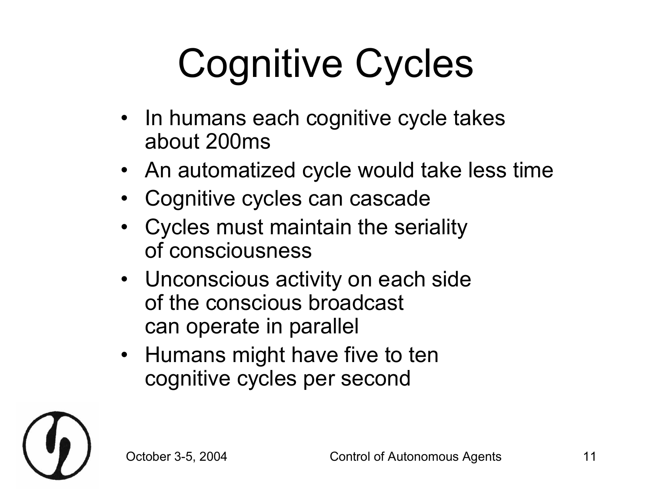# Cognitive Cycles

- In humans each cognitive cycle takes about 200ms
- An automatized cycle would take less time
- Cognitive cycles can cascade
- Cycles must maintain the seriality of consciousness
- Unconscious activity on each side of the conscious broadcast can operate in parallel
- Humans might have five to ten cognitive cycles per second

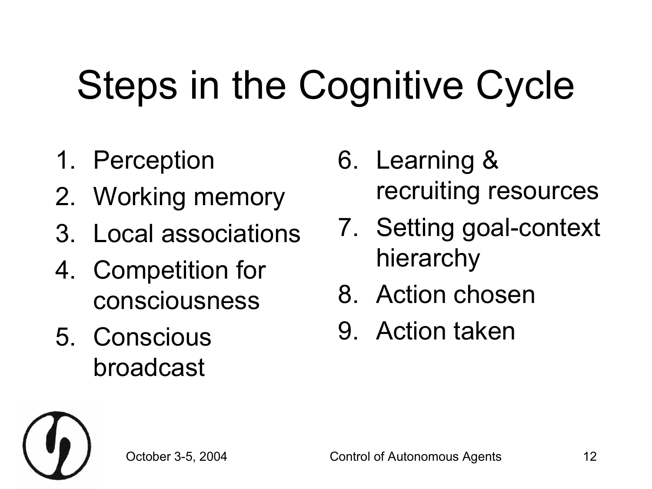## Steps in the Cognitive Cycle

- 1. Perception
- 2. Working memory
- 3. Local associations
- 4. Competition for consciousness
- 5. Conscious broadcast
- 6. Learning & recruiting resources
- 7. Setting goal-context hierarchy
- 8. Action chosen
- 9. Action taken

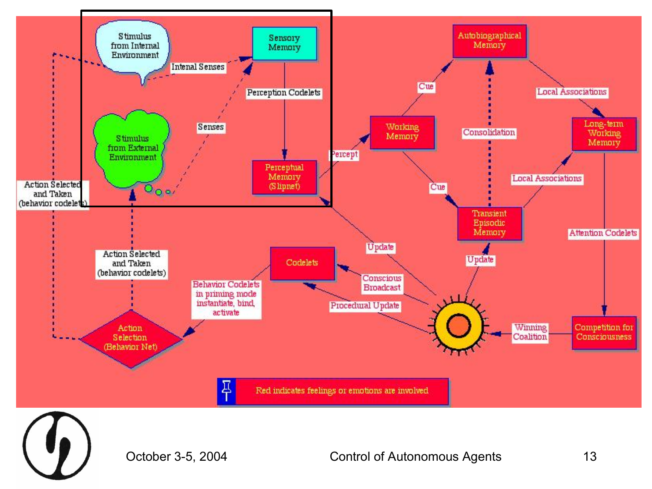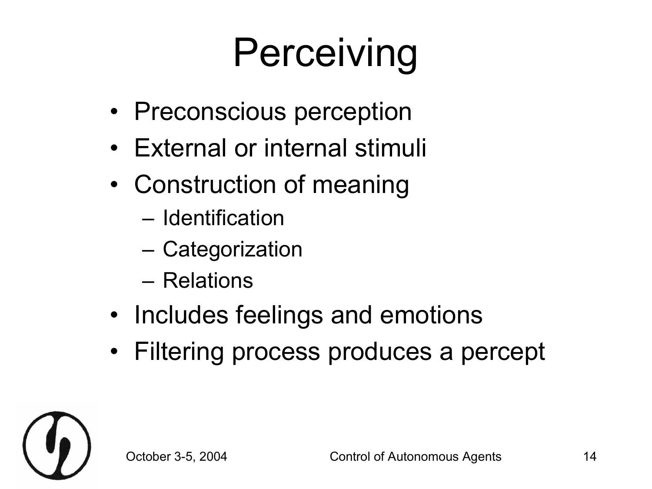## **Perceiving**

- Preconscious perception
- External or internal stimuli
- Construction of meaning
	- Identification
	- Categorization
	- Relations
- Includes feelings and emotions
- Filtering process produces a percept

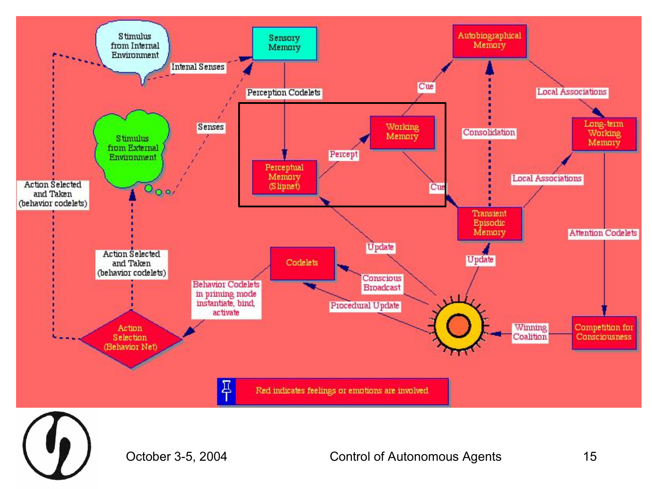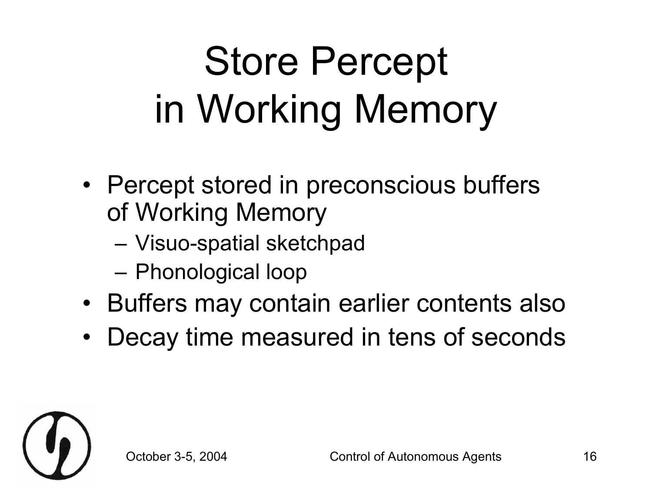## Store Percept in Working Memory

- Percept stored in preconscious buffers of Working Memory
	- Visuo-spatial sketchpad
	- Phonological loop
- Buffers may contain earlier contents also
- Decay time measured in tens of seconds

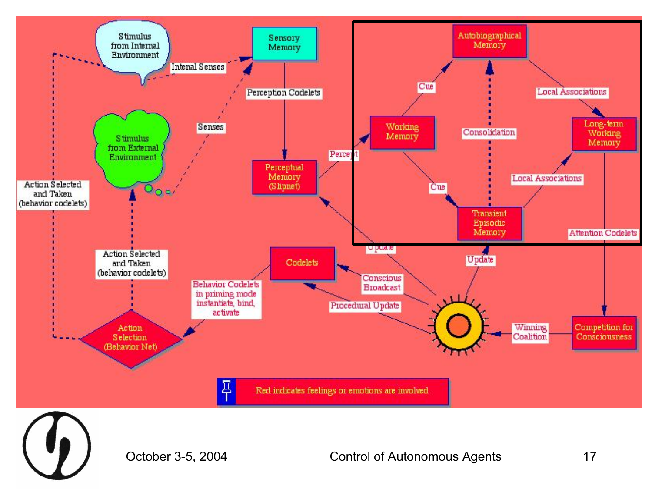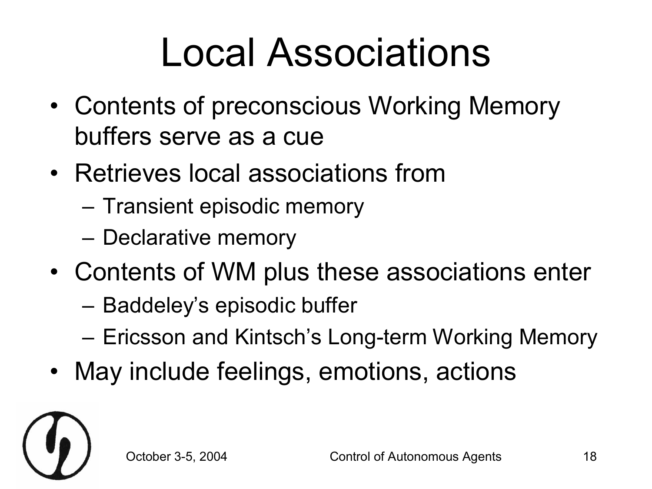### Local Associations

- Contents of preconscious Working Memory buffers serve as a cue
- Retrieves local associations from
	- Transient episodic memory
	- Declarative memory
- Contents of WM plus these associations enter
	- Baddeley's episodic buffer
	- Ericsson and Kintsch's Long-term Working Memory
- May include feelings, emotions, actions

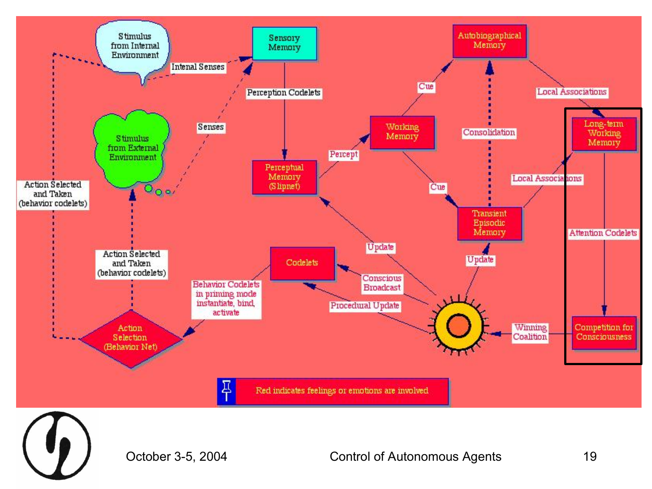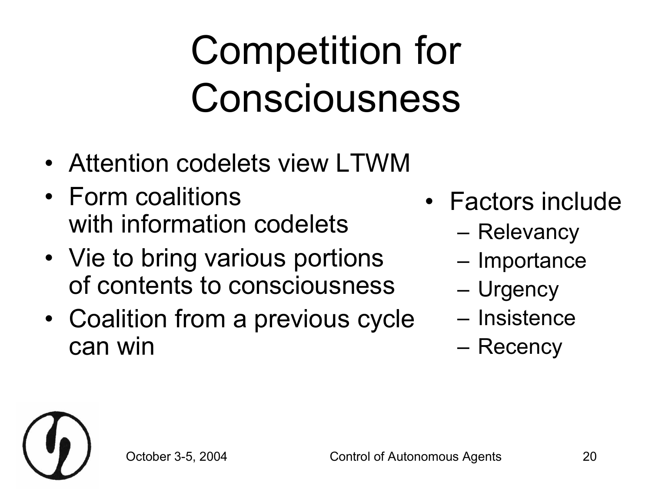## Competition for Consciousness

- Attention codelets view LTWM
- Form coalitions with information codelets
- Vie to bring various portions of contents to consciousness
- Coalition from a previous cycle can win
- Factors include
	- Relevancy
	- Importance
	- Urgency
	- Insistence
	- Recency

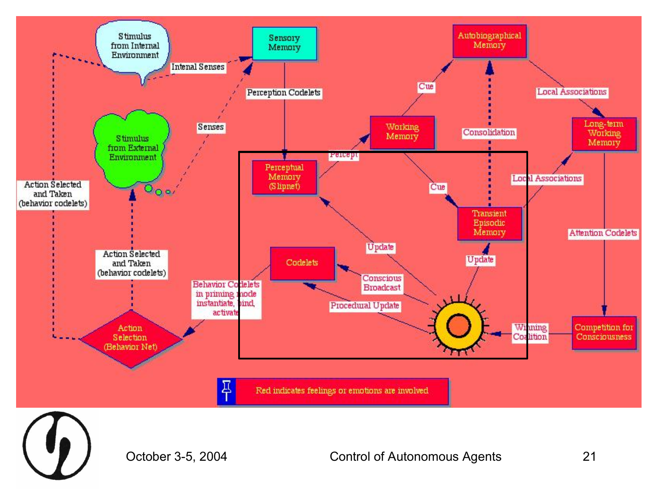

October 3-5, 2004 Control of Autonomous Agents 21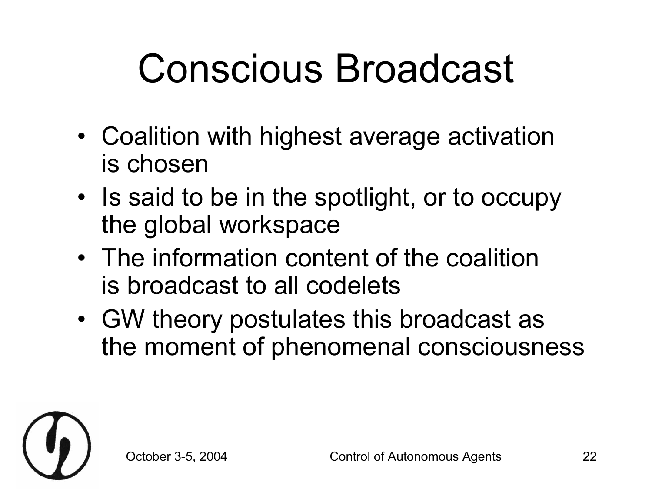### Conscious Broadcast

- Coalition with highest average activation is chosen
- Is said to be in the spotlight, or to occupy the global workspace
- The information content of the coalition is broadcast to all codelets
- GW theory postulates this broadcast as the moment of phenomenal consciousness

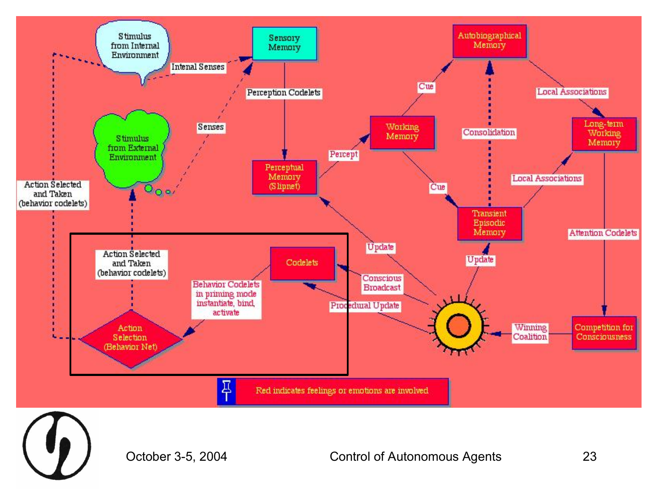

October 3-5, 2004 Control of Autonomous Agents 23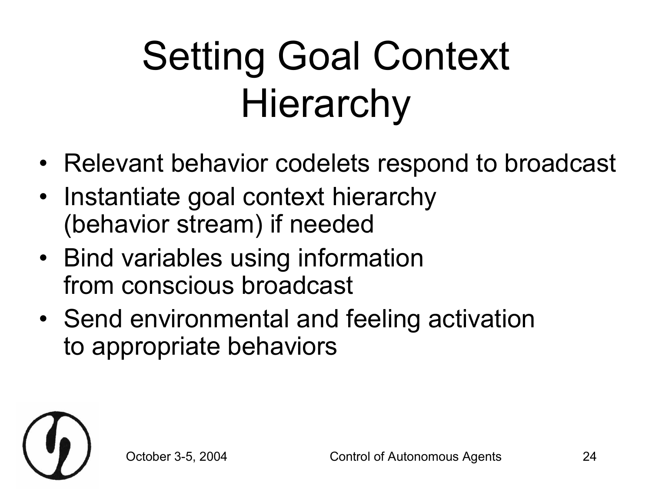## Setting Goal Context **Hierarchy**

- Relevant behavior codelets respond to broadcast
- Instantiate goal context hierarchy (behavior stream) if needed
- Bind variables using information from conscious broadcast
- Send environmental and feeling activation to appropriate behaviors

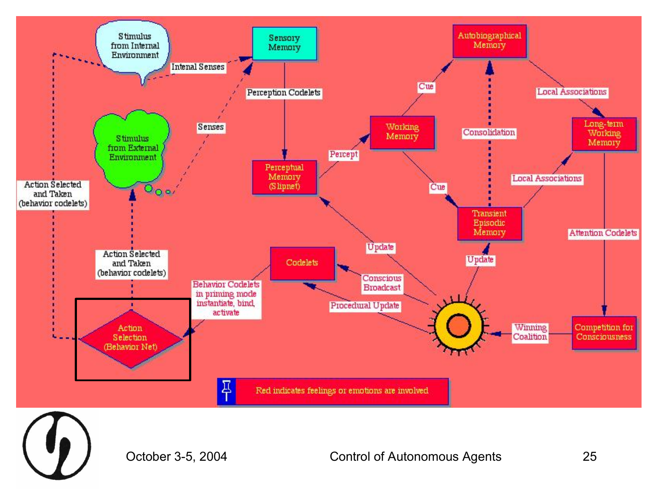

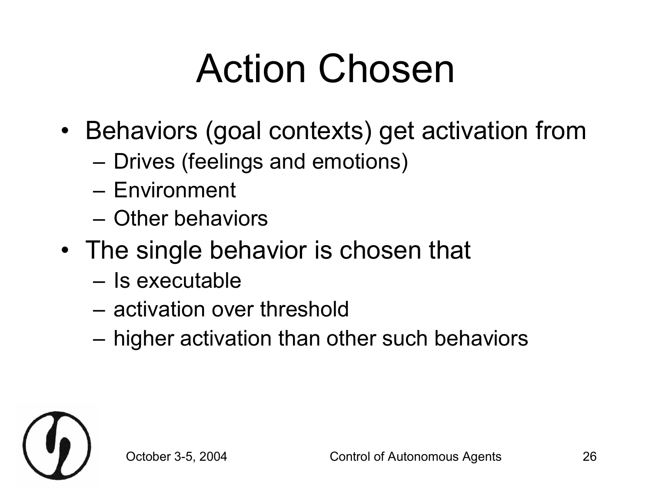### Action Chosen

- Behaviors (goal contexts) get activation from
	- Drives (feelings and emotions)
	- Environment
	- Other behaviors
- The single behavior is chosen that
	- Is executable
	- activation over threshold
	- higher activation than other such behaviors

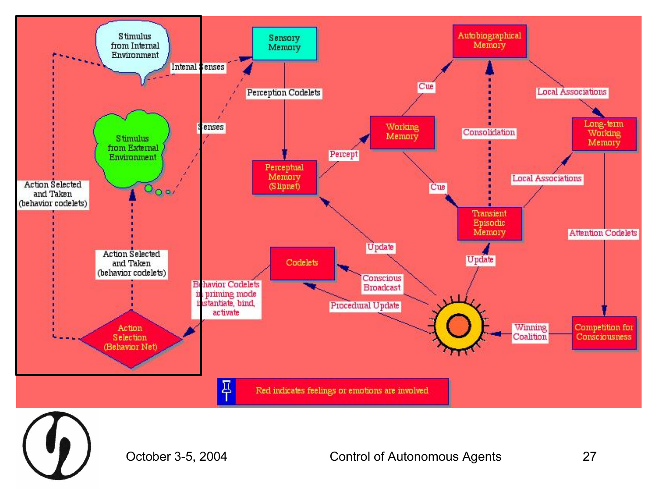



October 3-5, 2004 Control of Autonomous Agents 27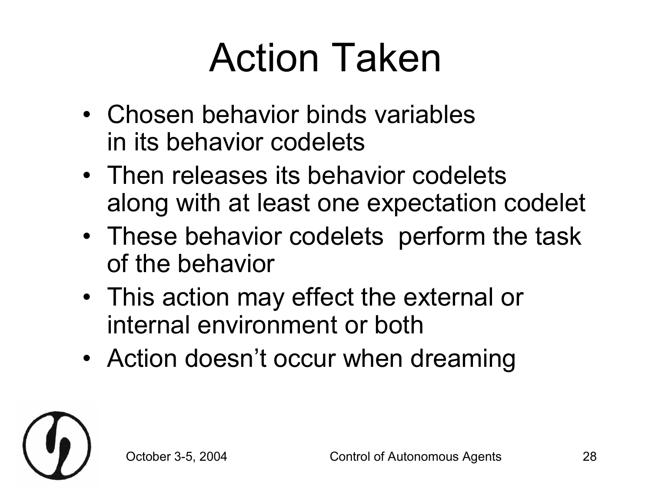### Action Taken

- Chosen behavior binds variables in its behavior codelets
- Then releases its behavior codelets along with at least one expectation codelet
- These behavior codelets perform the task of the behavior
- This action may effect the external or internal environment or both
- Action doesn't occur when dreaming

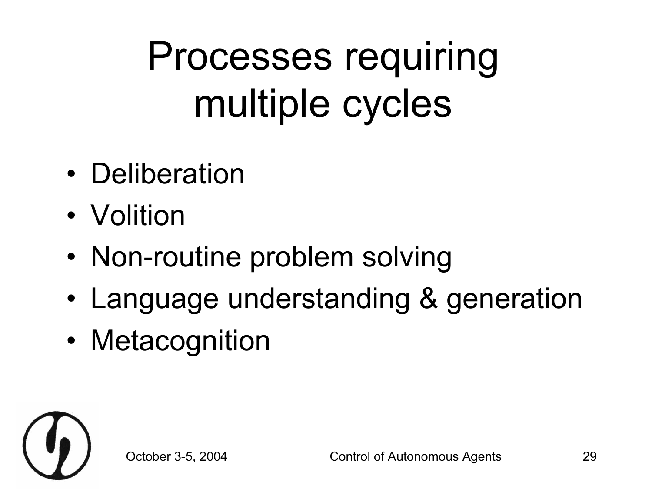## Processes requiring multiple cycles

- Deliberation
- Volition
- Non-routine problem solving
- Language understanding & generation
- Metacognition

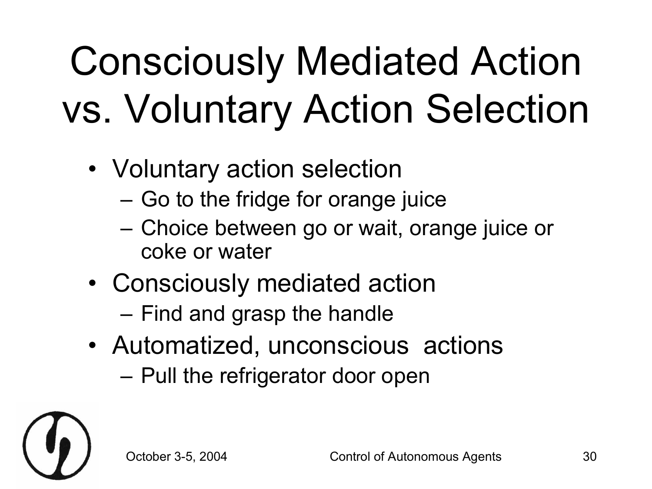## Consciously Mediated Action vs. Voluntary Action Selection

- Voluntary action selection
	- Go to the fridge for orange juice
	- Choice between go or wait, orange juice or coke or water
- Consciously mediated action
	- Find and grasp the handle
- Automatized, unconscious actions
	- Pull the refrigerator door open

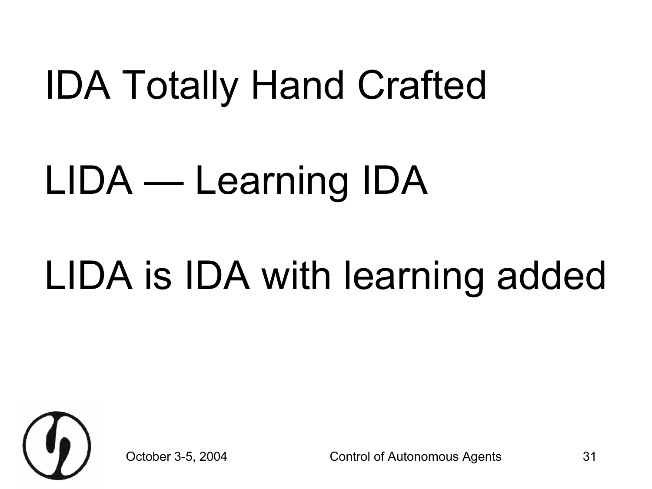### IDA Totally Hand Crafted

### LIDA — Learning IDA

#### LIDA is IDA with learning added



October 3-5, 2004 Control of Autonomous Agents 31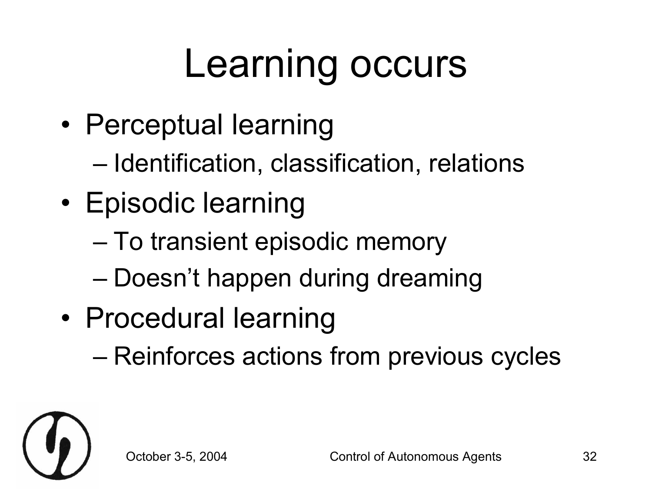#### Learning occurs

- Perceptual learning
	- Identification, classification, relations
- Episodic learning
	- To transient episodic memory
	- Doesn't happen during dreaming
- Procedural learning
	- Reinforces actions from previous cycles

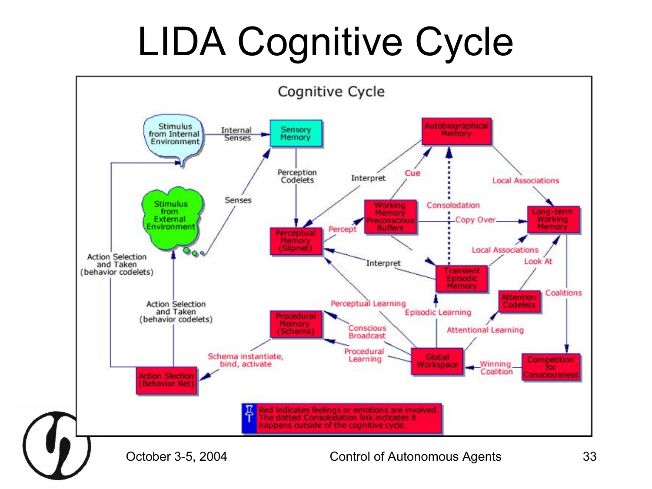## LIDA Cognitive Cycle

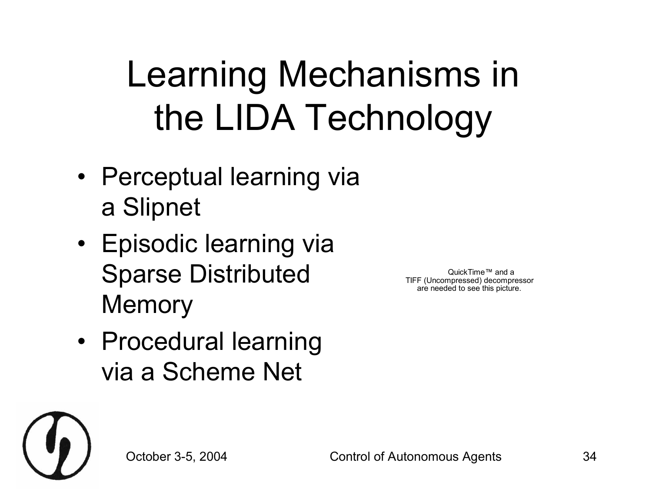#### Learning Mechanisms in the LIDA Technology

- Perceptual learning via a Slipnet
- Episodic learning via Sparse Distributed **Memory**

QuickTime™ and a TIFF (Uncompressed) decompressor are needed to see this picture.

• Procedural learning via a Scheme Net

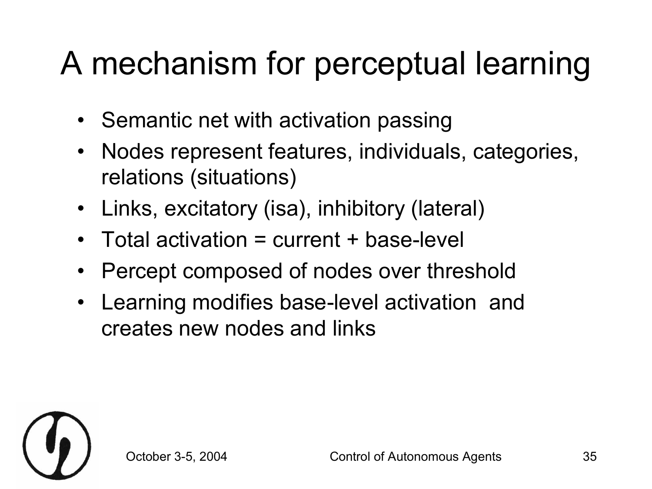#### A mechanism for perceptual learning

- Semantic net with activation passing
- Nodes represent features, individuals, categories, relations (situations)
- Links, excitatory (isa), inhibitory (lateral)
- Total activation = current + base-level
- Percept composed of nodes over threshold
- Learning modifies base-level activation and creates new nodes and links

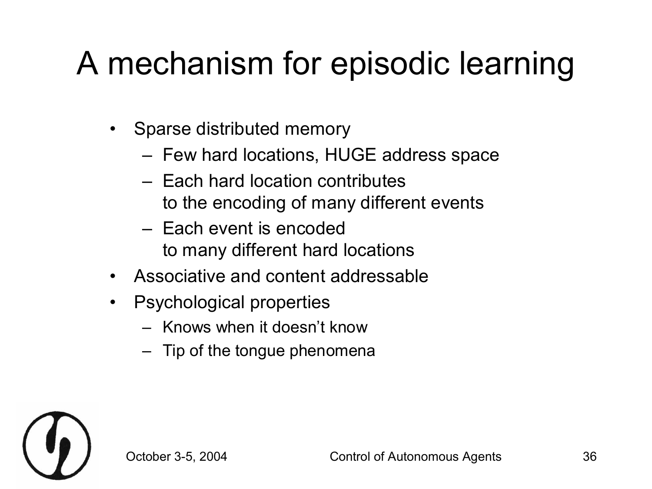#### A mechanism for episodic learning

- Sparse distributed memory
	- Few hard locations, HUGE address space
	- Each hard location contributes to the encoding of many different events
	- Each event is encoded to many different hard locations
- Associative and content addressable
- Psychological properties
	- Knows when it doesn't know
	- Tip of the tongue phenomena

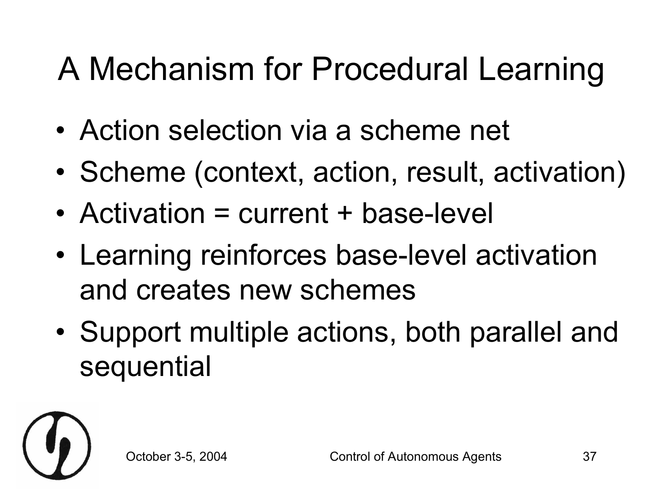#### A Mechanism for Procedural Learning

- Action selection via a scheme net
- Scheme (context, action, result, activation)
- Activation  $=$  current  $+$  base-level
- Learning reinforces base-level activation and creates new schemes
- Support multiple actions, both parallel and sequential

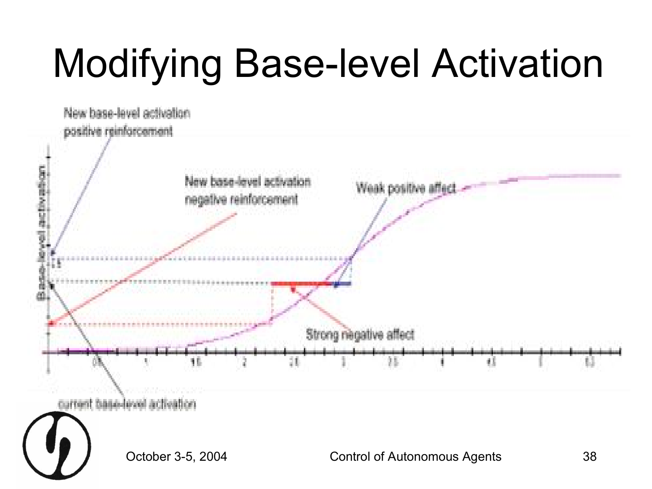## **Modifying Base-level Activation**

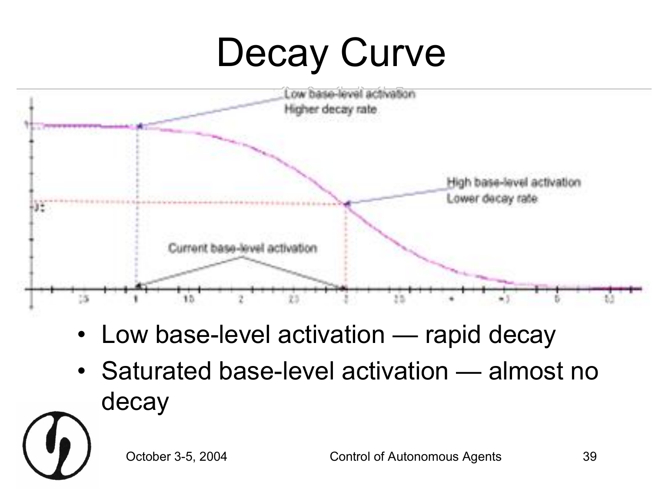## Decay Curve



- Low base-level activation rapid decay
- Saturated base-level activation almost no decay

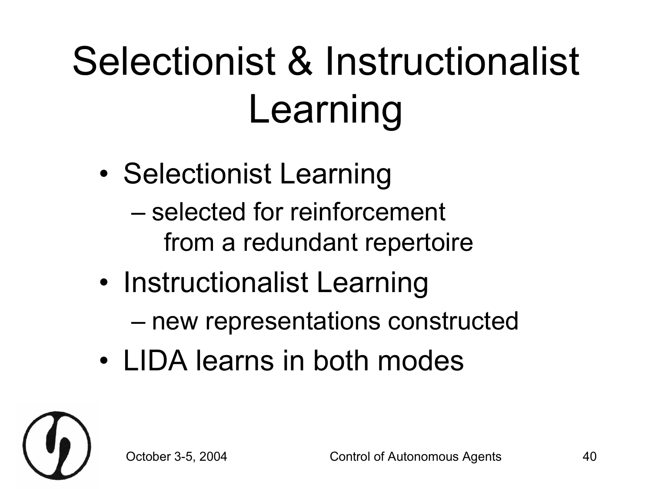## Selectionist & Instructionalist Learning

- Selectionist Learning
	- selected for reinforcement from a redundant repertoire
- Instructionalist Learning
	- new representations constructed
- LIDA learns in both modes

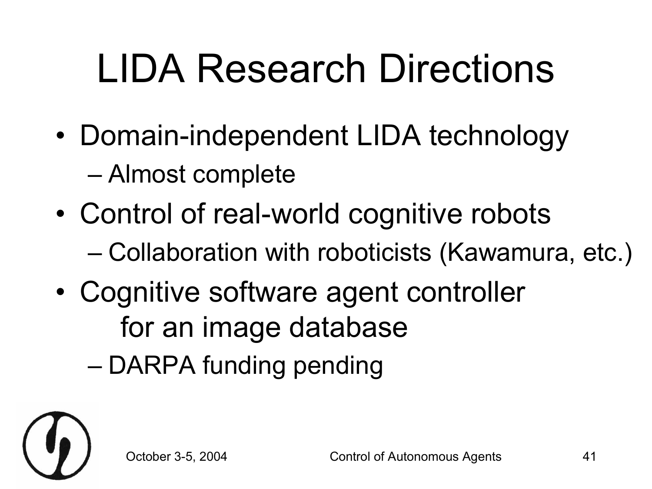## LIDA Research Directions

- Domain-independent LIDA technology – Almost complete
- Control of real-world cognitive robots – Collaboration with roboticists (Kawamura, etc.)
- Cognitive software agent controller for an image database
	- DARPA funding pending

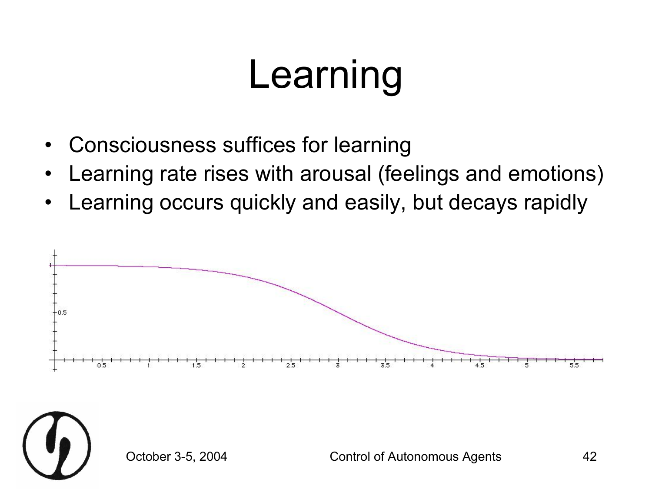#### Learning

- Consciousness suffices for learning
- Learning rate rises with arousal (feelings and emotions)
- Learning occurs quickly and easily, but decays rapidly